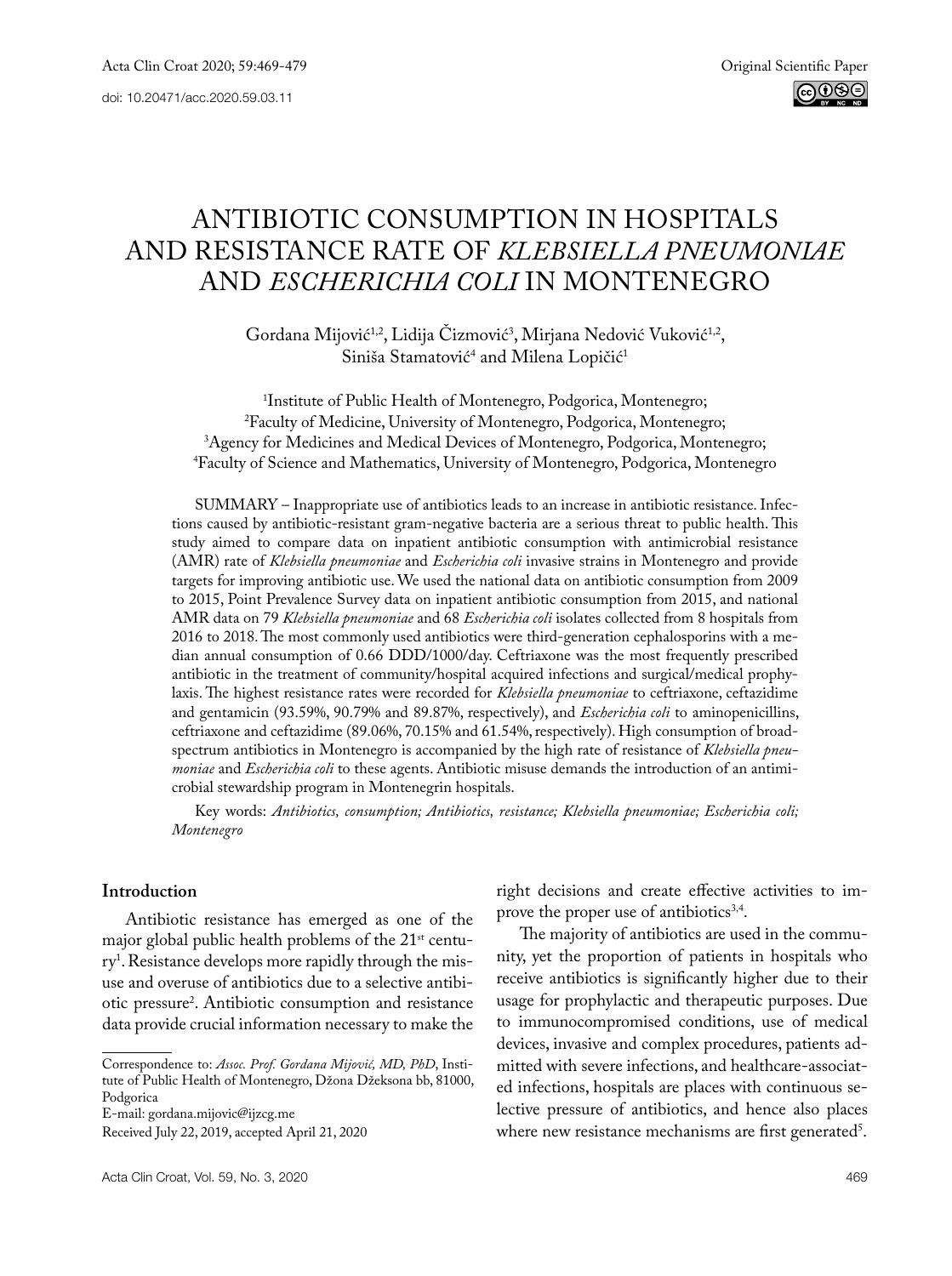# Antibiotic Consumption in Hospitals and Resistance Rate of *Klebsiella pneumoniae* and *Escherichia coli* in Montenegro

Gordana Mijović<sup>1,2</sup>, Lidija Cizmović<sup>3</sup>, Mirjana Nedović Vuković<sup>1,2</sup>, Siniša Stamatović<sup>4</sup> and Milena Lopičić<sup>1</sup>

<sup>1</sup>Institute of Public Health of Montenegro, Podgorica, Montenegro; <sup>2</sup>Faculty of Medicine, University of Montenegro, Podgorica, Montenegro; <sup>3</sup>Agency for Medicines and Medical Devices of Montenegro, Podgorica, Montenegro; Agency for Medicines and Medical Devices of Montenegro, Podgorica, Montenegro; 4 Faculty of Science and Mathematics, University of Montenegro, Podgorica, Montenegro

SUMMARY – Inappropriate use of antibiotics leads to an increase in antibiotic resistance. Infections caused by antibiotic-resistant gram-negative bacteria are a serious threat to public health. This study aimed to compare data on inpatient antibiotic consumption with antimicrobial resistance (AMR) rate of *Klebsiella pneumoniae* and *Escherichia coli* invasive strains in Montenegro and provide targets for improving antibiotic use. We used the national data on antibiotic consumption from 2009 to 2015, Point Prevalence Survey data on inpatient antibiotic consumption from 2015, and national AMR data on 79 *Klebsiella pneumoniae* and 68 *Escherichia coli* isolates collected from 8 hospitals from 2016 to 2018. The most commonly used antibiotics were third-generation cephalosporins with a median annual consumption of 0.66 DDD/1000/day. Ceftriaxone was the most frequently prescribed antibiotic in the treatment of community/hospital acquired infections and surgical/medical prophylaxis. The highest resistance rates were recorded for *Klebsiella pneumoniae* to ceftriaxone, ceftazidime and gentamicin (93.59%, 90.79% and 89.87%, respectively), and *Escherichia coli* to aminopenicillins, ceftriaxone and ceftazidime (89.06%, 70.15% and 61.54%, respectively). High consumption of broadspectrum antibiotics in Montenegro is accompanied by the high rate of resistance of *Klebsiella pneumoniae* and *Escherichia coli* to these agents. Antibiotic misuse demands the introduction of an antimicrobial stewardship program in Montenegrin hospitals.

Key words: *Antibiotics, consumption; Antibiotics, resistance; Klebsiella pneumoniae; Escherichia coli; Montenegro*

#### **Introduction**

Antibiotic resistance has emerged as one of the major global public health problems of the 21<sup>st</sup> century1 . Resistance develops more rapidly through the misuse and overuse of antibiotics due to a selective antibiotic pressure2 . Antibiotic consumption and resistance data provide crucial information necessary to make the

E-mail: gordana.mijovic@ijzcg.me

right decisions and create effective activities to improve the proper use of antibiotics<sup>3,4</sup>.

The majority of antibiotics are used in the community, yet the proportion of patients in hospitals who receive antibiotics is significantly higher due to their usage for prophylactic and therapeutic purposes. Due to immunocompromised conditions, use of medical devices, invasive and complex procedures, patients admitted with severe infections, and healthcare-associated infections, hospitals are places with continuous selective pressure of antibiotics, and hence also places where new resistance mechanisms are first generated<sup>5</sup>.

Correspondence to: *Assoc. Prof. Gordana Mijović, MD, PhD*, Institute of Public Health of Montenegro, Džona Džeksona bb, 81000, Podgorica

Received July 22, 2019, accepted April 21, 2020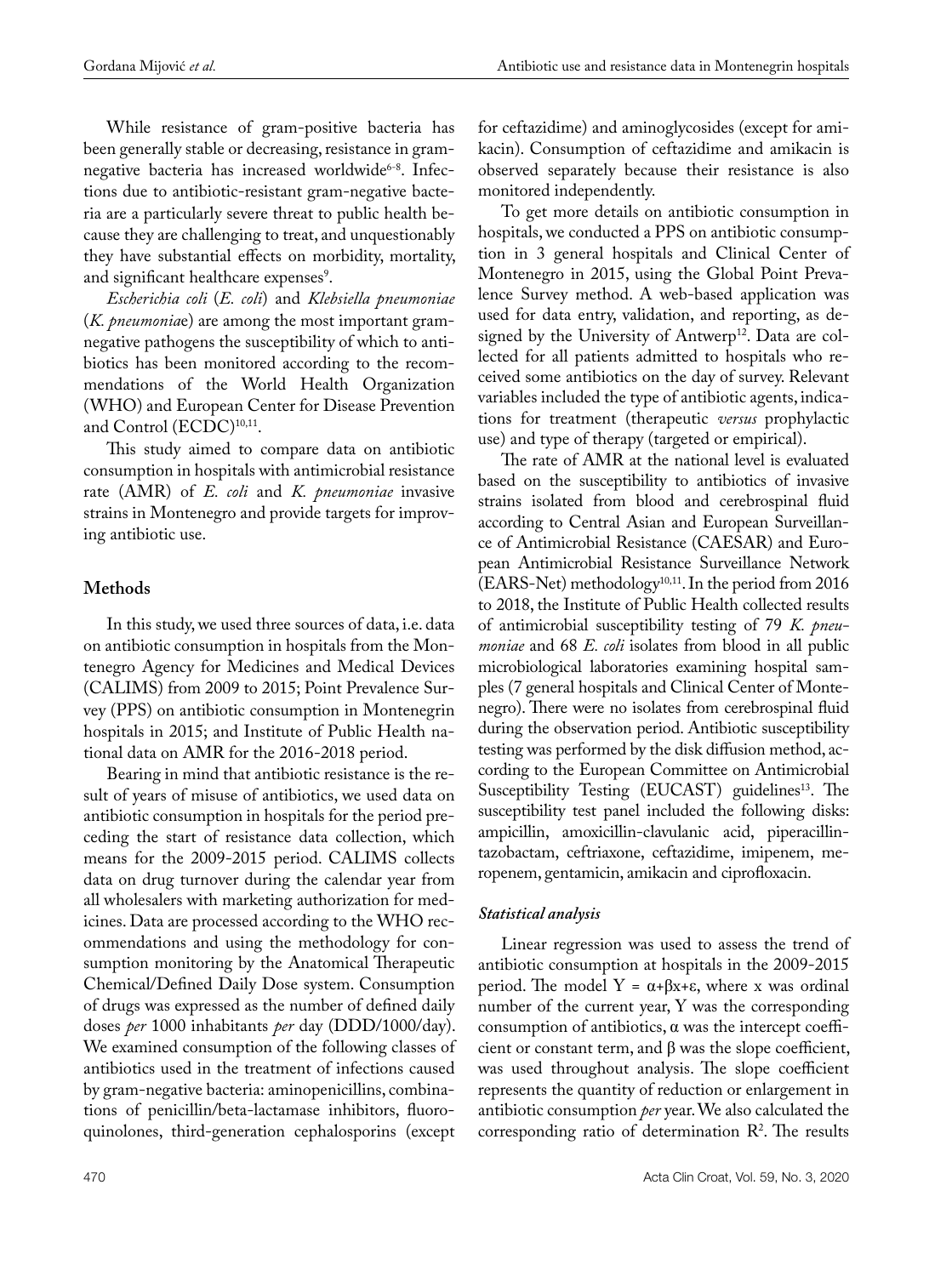While resistance of gram-positive bacteria has been generally stable or decreasing, resistance in gramnegative bacteria has increased worldwide<sup>6-8</sup>. Infections due to antibiotic-resistant gram-negative bacteria are a particularly severe threat to public health because they are challenging to treat, and unquestionably they have substantial effects on morbidity, mortality, and significant healthcare expenses<sup>9</sup>.

*Escherichia coli* (*E. coli*) and *Klebsiella pneumoniae*  (*K. pneumonia*e) are among the most important gramnegative pathogens the susceptibility of which to antibiotics has been monitored according to the recommendations of the World Health Organization (WHO) and European Center for Disease Prevention and Control (ECDC)<sup>10,11</sup>.

This study aimed to compare data on antibiotic consumption in hospitals with antimicrobial resistance rate (AMR) of *E. coli* and *K. pneumoniae* invasive strains in Montenegro and provide targets for improving antibiotic use.

# **Methods**

In this study, we used three sources of data, i.e. data on antibiotic consumption in hospitals from the Montenegro Agency for Medicines and Medical Devices (CALIMS) from 2009 to 2015; Point Prevalence Survey (PPS) on antibiotic consumption in Montenegrin hospitals in 2015; and Institute of Public Health national data on AMR for the 2016-2018 period.

Bearing in mind that antibiotic resistance is the result of years of misuse of antibiotics, we used data on antibiotic consumption in hospitals for the period preceding the start of resistance data collection, which means for the 2009-2015 period. CALIMS collects data on drug turnover during the calendar year from all wholesalers with marketing authorization for medicines. Data are processed according to the WHO recommendations and using the methodology for consumption monitoring by the Anatomical Therapeutic Chemical/Defined Daily Dose system. Consumption of drugs was expressed as the number of defined daily doses *per* 1000 inhabitants *per* day (DDD/1000/day). We examined consumption of the following classes of antibiotics used in the treatment of infections caused by gram-negative bacteria: aminopenicillins, combinations of penicillin/beta-lactamase inhibitors, fluoroquinolones, third-generation cephalosporins (except

for ceftazidime) and aminoglycosides (except for amikacin). Consumption of ceftazidime and amikacin is observed separately because their resistance is also monitored independently.

To get more details on antibiotic consumption in hospitals, we conducted a PPS on antibiotic consumption in 3 general hospitals and Clinical Center of Montenegro in 2015, using the Global Point Prevalence Survey method. A web-based application was used for data entry, validation, and reporting, as designed by the University of Antwerp<sup>12</sup>. Data are collected for all patients admitted to hospitals who received some antibiotics on the day of survey. Relevant variables included the type of antibiotic agents, indications for treatment (therapeutic *versus* prophylactic use) and type of therapy (targeted or empirical).

The rate of AMR at the national level is evaluated based on the susceptibility to antibiotics of invasive strains isolated from blood and cerebrospinal fluid according to Central Asian and European Surveillance of Antimicrobial Resistance (CAESAR) and European Antimicrobial Resistance Surveillance Network  $(EARS-Net)$  methodology<sup>10,11</sup>. In the period from 2016 to 2018, the Institute of Public Health collected results of antimicrobial susceptibility testing of 79 *K. pneumoniae* and 68 *E. coli* isolates from blood in all public microbiological laboratories examining hospital samples (7 general hospitals and Clinical Center of Montenegro). There were no isolates from cerebrospinal fluid during the observation period. Antibiotic susceptibility testing was performed by the disk diffusion method, according to the European Committee on Antimicrobial Susceptibility Testing (EUCAST) guidelines<sup>13</sup>. The susceptibility test panel included the following disks: ampicillin, amoxicillin-clavulanic acid, piperacillintazobactam, ceftriaxone, ceftazidime, imipenem, meropenem, gentamicin, amikacin and ciprofloxacin.

# *Statistical analysis*

Linear regression was used to assess the trend of antibiotic consumption at hospitals in the 2009-2015 period. The model  $Y = \alpha + \beta x + \epsilon$ , where x was ordinal number of the current year, Y was the corresponding consumption of antibiotics,  $\alpha$  was the intercept coefficient or constant term, and β was the slope coefficient, was used throughout analysis. The slope coefficient represents the quantity of reduction or enlargement in antibiotic consumption *per* year. We also calculated the corresponding ratio of determination  $\mathbb{R}^2$ . The results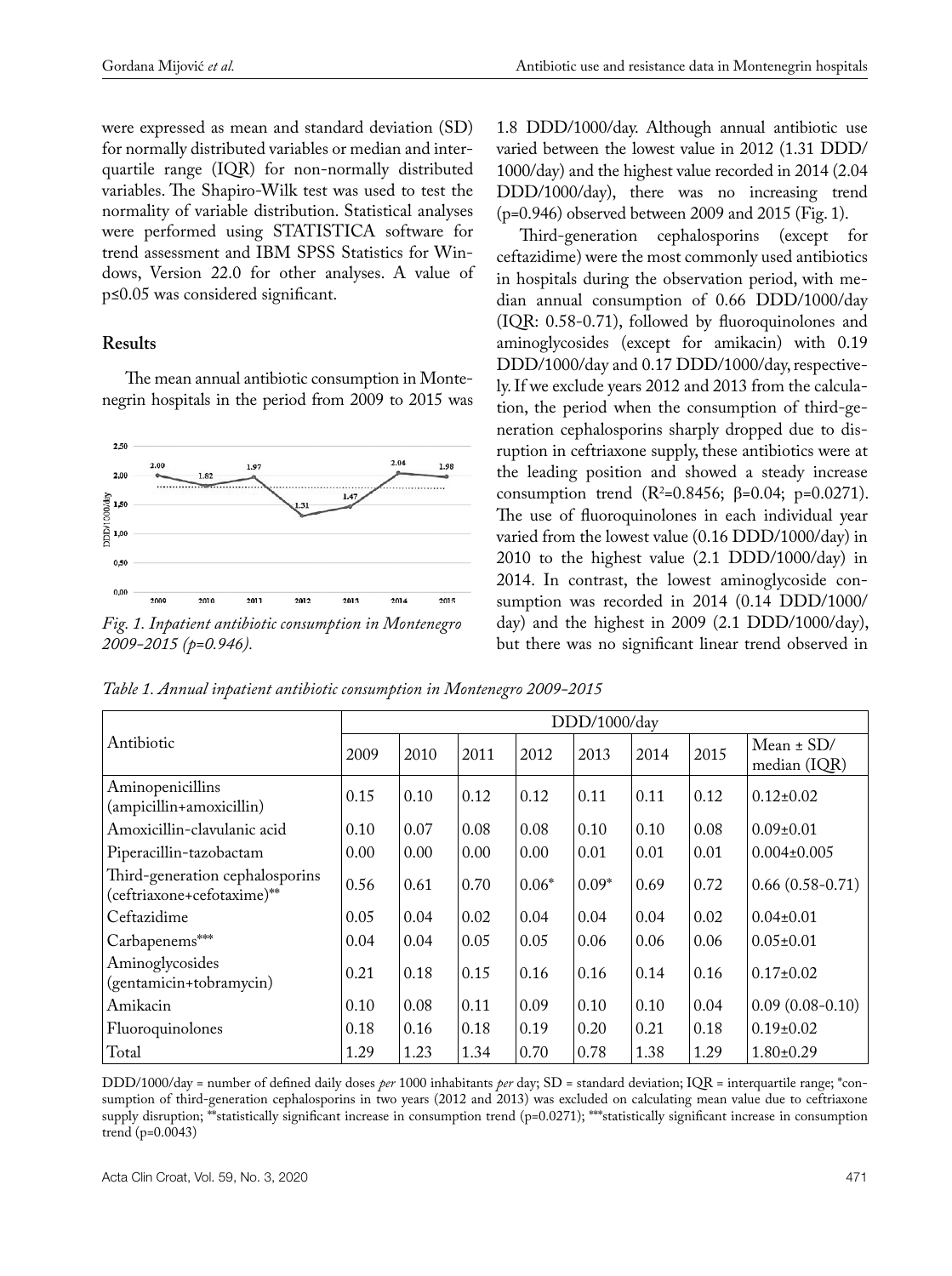were expressed as mean and standard deviation (SD) for normally distributed variables or median and interquartile range (IQR) for non-normally distributed variables. The Shapiro-Wilk test was used to test the normality of variable distribution. Statistical analyses were performed using STATISTICA software for trend assessment and IBM SPSS Statistics for Windows, Version 22.0 for other analyses. A value of p≤0.05 was considered significant.

# **Results**

The mean annual antibiotic consumption in Montenegrin hospitals in the period from 2009 to 2015 was



*Fig. 1. Inpatient antibiotic consumption in Montenegro 2009-2015 (p=0.946).*

1.8 DDD/1000/day. Although annual antibiotic use varied between the lowest value in 2012 (1.31 DDD/ 1000/day) and the highest value recorded in 2014 (2.04 DDD/1000/day), there was no increasing trend (p=0.946) observed between 2009 and 2015 (Fig. 1).

Third-generation cephalosporins (except for ceftazidime) were the most commonly used antibiotics in hospitals during the observation period, with median annual consumption of 0.66 DDD/1000/day (IQR: 0.58-0.71), followed by fluoroquinolones and aminoglycosides (except for amikacin) with 0.19 DDD/1000/day and 0.17 DDD/1000/day, respectively. If we exclude years 2012 and 2013 from the calculation, the period when the consumption of third-generation cephalosporins sharply dropped due to disruption in ceftriaxone supply, these antibiotics were at the leading position and showed a steady increase consumption trend (R<sup>2</sup>=0.8456; β=0.04; p=0.0271). The use of fluoroquinolones in each individual year varied from the lowest value (0.16 DDD/1000/day) in 2010 to the highest value (2.1 DDD/1000/day) in 2014. In contrast, the lowest aminoglycoside consumption was recorded in 2014 (0.14 DDD/1000/ day) and the highest in 2009 (2.1 DDD/1000/day), but there was no significant linear trend observed in

*Table 1. Annual inpatient antibiotic consumption in Montenegro 2009-2015*

|                                                               |      |      |      |         | DDD/1000/day |      |      |                   |
|---------------------------------------------------------------|------|------|------|---------|--------------|------|------|-------------------|
| Antibiotic                                                    | 2009 | 2010 | 2011 | 2012    | 2013         | 2014 | 2015 | Mean $\pm$ SD/    |
|                                                               |      |      |      |         |              |      |      | median (IQR)      |
| Aminopenicillins<br>(ampicillin+amoxicillin)                  | 0.15 | 0.10 | 0.12 | 0.12    | 0.11         | 0.11 | 0.12 | $0.12 \pm 0.02$   |
| Amoxicillin-clavulanic acid                                   | 0.10 | 0.07 | 0.08 | 0.08    | 0.10         | 0.10 | 0.08 | $0.09 \pm 0.01$   |
| Piperacillin-tazobactam                                       | 0.00 | 0.00 | 0.00 | 0.00    | 0.01         | 0.01 | 0.01 | $0.004 \pm 0.005$ |
| Third-generation cephalosporins<br>(ceftriaxone+cefotaxime)** | 0.56 | 0.61 | 0.70 | $0.06*$ | $0.09*$      | 0.69 | 0.72 | $0.66(0.58-0.71)$ |
| Ceftazidime                                                   | 0.05 | 0.04 | 0.02 | 0.04    | 0.04         | 0.04 | 0.02 | $0.04 \pm 0.01$   |
| Carbapenems***                                                | 0.04 | 0.04 | 0.05 | 0.05    | 0.06         | 0.06 | 0.06 | $0.05 \pm 0.01$   |
| Aminoglycosides<br>(gentamicin+tobramycin)                    | 0.21 | 0.18 | 0.15 | 0.16    | 0.16         | 0.14 | 0.16 | $0.17 \pm 0.02$   |
| Amikacin                                                      | 0.10 | 0.08 | 0.11 | 0.09    | 0.10         | 0.10 | 0.04 | $0.09(0.08-0.10)$ |
| Fluoroquinolones                                              | 0.18 | 0.16 | 0.18 | 0.19    | 0.20         | 0.21 | 0.18 | $0.19 \pm 0.02$   |
| Total                                                         | 1.29 | 1.23 | 1.34 | 0.70    | 0.78         | 1.38 | 1.29 | $1.80 \pm 0.29$   |

DDD/1000/day = number of defined daily doses *per* 1000 inhabitants *per* day; SD = standard deviation; IQR = interquartile range; \*consumption of third-generation cephalosporins in two years (2012 and 2013) was excluded on calculating mean value due to ceftriaxone supply disruption; \*\*statistically significant increase in consumption trend (p=0.0271); \*\*\*statistically significant increase in consumption trend (p=0.0043)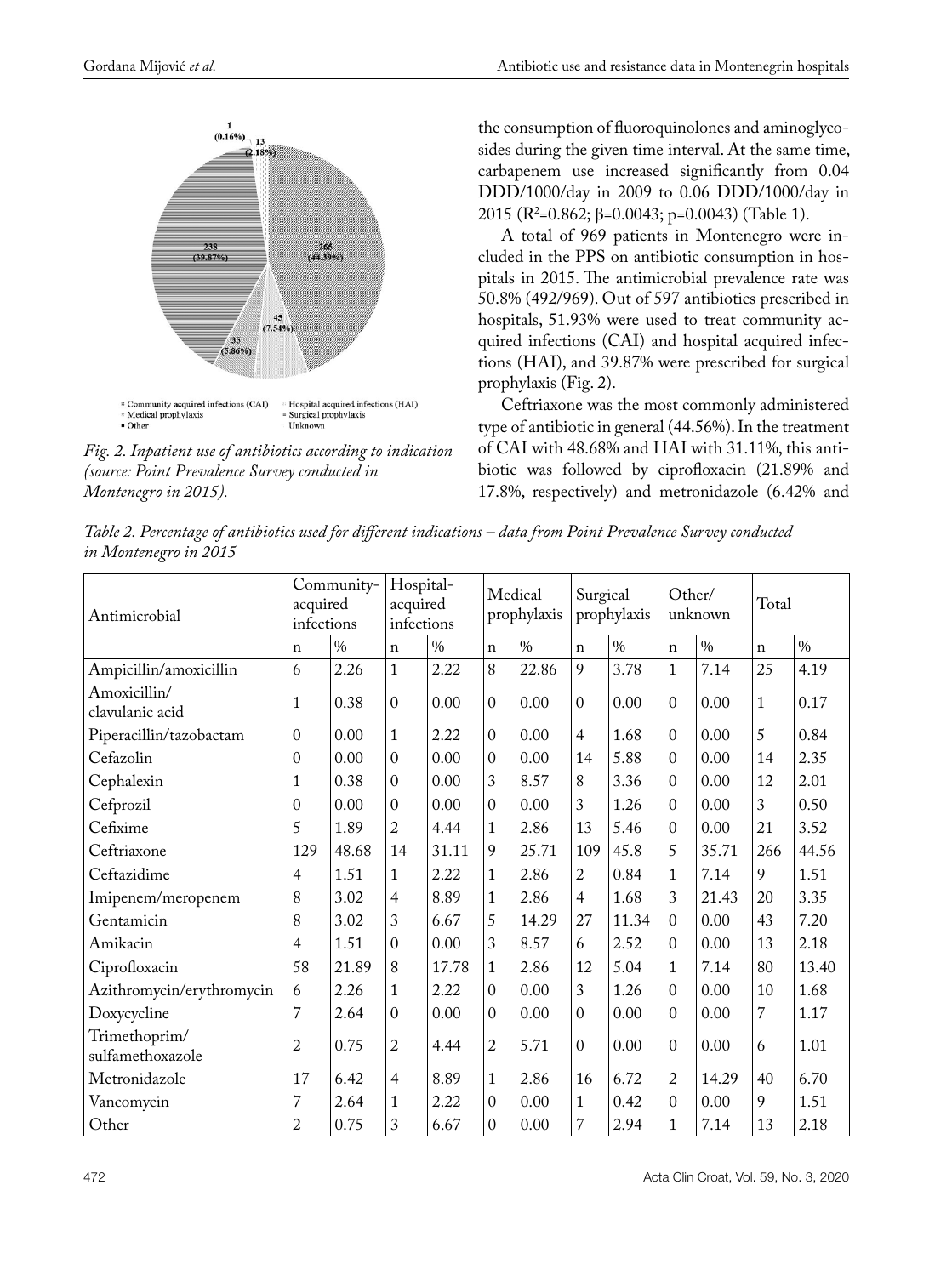

*Fig. 2. Inpatient use of antibiotics according to indication (source: Point Prevalence Survey conducted in Montenegro in 2015).*

the consumption of fluoroquinolones and aminoglycosides during the given time interval. At the same time, carbapenem use increased significantly from 0.04 DDD/1000/day in 2009 to 0.06 DDD/1000/day in 2015 (R2 =0.862; β=0.0043; p=0.0043) (Table 1).

A total of 969 patients in Montenegro were included in the PPS on antibiotic consumption in hospitals in 2015. The antimicrobial prevalence rate was 50.8% (492/969). Out of 597 antibiotics prescribed in hospitals, 51.93% were used to treat community acquired infections (CAI) and hospital acquired infections (HAI), and 39.87% were prescribed for surgical prophylaxis (Fig. 2).

Ceftriaxone was the most commonly administered type of antibiotic in general (44.56%). In the treatment of CAI with 48.68% and HAI with 31.11%, this antibiotic was followed by ciprofloxacin (21.89% and 17.8%, respectively) and metronidazole (6.42% and

*Table 2. Percentage of antibiotics used for different indications – data from Point Prevalence Survey conducted in Montenegro in 2015*

| Antimicrobial                     | acquired<br>infections | Community- | Hospital-<br>acquired<br>infections |       |                  | Medical<br>prophylaxis | Surgical       | prophylaxis   | Other/         | unknown | Total        |               |
|-----------------------------------|------------------------|------------|-------------------------------------|-------|------------------|------------------------|----------------|---------------|----------------|---------|--------------|---------------|
|                                   | $\mathbf n$            | $\%$       | $\mathbf n$                         | $\%$  | $\mathbf n$      | $\%$                   | $\mathbf n$    | $\frac{0}{0}$ | $\mathbf n$    | $\%$    | $\mathbf{n}$ | $\frac{0}{6}$ |
| Ampicillin/amoxicillin            | 6                      | 2.26       | $\mathbf{1}$                        | 2.22  | 8                | 22.86                  | 9              | 3.78          | $\mathbf{1}$   | 7.14    | 25           | 4.19          |
| Amoxicillin/<br>clavulanic acid   | $\mathbf{1}$           | 0.38       | $\mathbf{0}$                        | 0.00  | $\mathbf{0}$     | 0.00                   | $\overline{0}$ | 0.00          | $\mathbf{0}$   | 0.00    | $\mathbf{1}$ | 0.17          |
| Piperacillin/tazobactam           | $\mathbf{0}$           | 0.00       | $\mathbf{1}$                        | 2.22  | $\mathbf{0}$     | 0.00                   | $\overline{4}$ | 1.68          | $\mathbf{0}$   | 0.00    | 5            | 0.84          |
| Cefazolin                         | $\mathbf{0}$           | 0.00       | $\mathbf{0}$                        | 0.00  | $\boldsymbol{0}$ | 0.00                   | 14             | 5.88          | $\mathbf{0}$   | 0.00    | 14           | 2.35          |
| Cephalexin                        | $\mathbf{1}$           | 0.38       | $\mathbf{0}$                        | 0.00  | 3                | 8.57                   | 8              | 3.36          | $\mathbf{0}$   | 0.00    | 12           | 2.01          |
| Cefprozil                         | $\mathbf{0}$           | 0.00       | $\mathbf{0}$                        | 0.00  | $\theta$         | 0.00                   | 3              | 1.26          | $\mathbf{0}$   | 0.00    | 3            | 0.50          |
| Cefixime                          | 5                      | 1.89       | $\overline{c}$                      | 4.44  | $\mathbf{1}$     | 2.86                   | 13             | 5.46          | $\mathbf{0}$   | 0.00    | 21           | 3.52          |
| Ceftriaxone                       | 129                    | 48.68      | 14                                  | 31.11 | 9                | 25.71                  | 109            | 45.8          | 5              | 35.71   | 266          | 44.56         |
| Ceftazidime                       | $\overline{4}$         | 1.51       | $\mathbf{1}$                        | 2.22  | $\mathbf{1}$     | 2.86                   | 2              | 0.84          | $\mathbf{1}$   | 7.14    | 9            | 1.51          |
| Imipenem/meropenem                | 8                      | 3.02       | $\overline{4}$                      | 8.89  | $\mathbf{1}$     | 2.86                   | $\overline{4}$ | 1.68          | 3              | 21.43   | 20           | 3.35          |
| Gentamicin                        | 8                      | 3.02       | 3                                   | 6.67  | 5                | 14.29                  | 27             | 11.34         | $\mathbf{0}$   | 0.00    | 43           | 7.20          |
| Amikacin                          | 4                      | 1.51       | $\mathbf{0}$                        | 0.00  | 3                | 8.57                   | 6              | 2.52          | $\mathbf 0$    | 0.00    | 13           | 2.18          |
| Ciprofloxacin                     | 58                     | 21.89      | 8                                   | 17.78 | $\mathbf{1}$     | 2.86                   | 12             | 5.04          | $\mathbf{1}$   | 7.14    | 80           | 13.40         |
| Azithromycin/erythromycin         | 6                      | 2.26       | $\mathbf{1}$                        | 2.22  | $\mathbf{0}$     | 0.00                   | 3              | 1.26          | $\mathbf 0$    | 0.00    | 10           | 1.68          |
| Doxycycline                       | $\overline{7}$         | 2.64       | $\overline{0}$                      | 0.00  | $\mathbf{0}$     | 0.00                   | $\mathbf{0}$   | 0.00          | $\theta$       | 0.00    | 7            | 1.17          |
| Trimethoprim/<br>sulfamethoxazole | $\sqrt{2}$             | 0.75       | $\overline{2}$                      | 4.44  | $\overline{2}$   | 5.71                   | $\mathbf{0}$   | 0.00          | $\overline{0}$ | 0.00    | 6            | 1.01          |
| Metronidazole                     | 17                     | 6.42       | $\overline{4}$                      | 8.89  | $\mathbf{1}$     | 2.86                   | 16             | 6.72          | $\overline{2}$ | 14.29   | 40           | 6.70          |
| Vancomycin                        | 7                      | 2.64       | $\mathbf{1}$                        | 2.22  | $\overline{0}$   | 0.00                   | $\mathbf{1}$   | 0.42          | $\mathbf{0}$   | 0.00    | 9            | 1.51          |
| Other                             | 2                      | 0.75       | 3                                   | 6.67  | $\mathbf{0}$     | 0.00                   | $\overline{7}$ | 2.94          | $\mathbf{1}$   | 7.14    | 13           | 2.18          |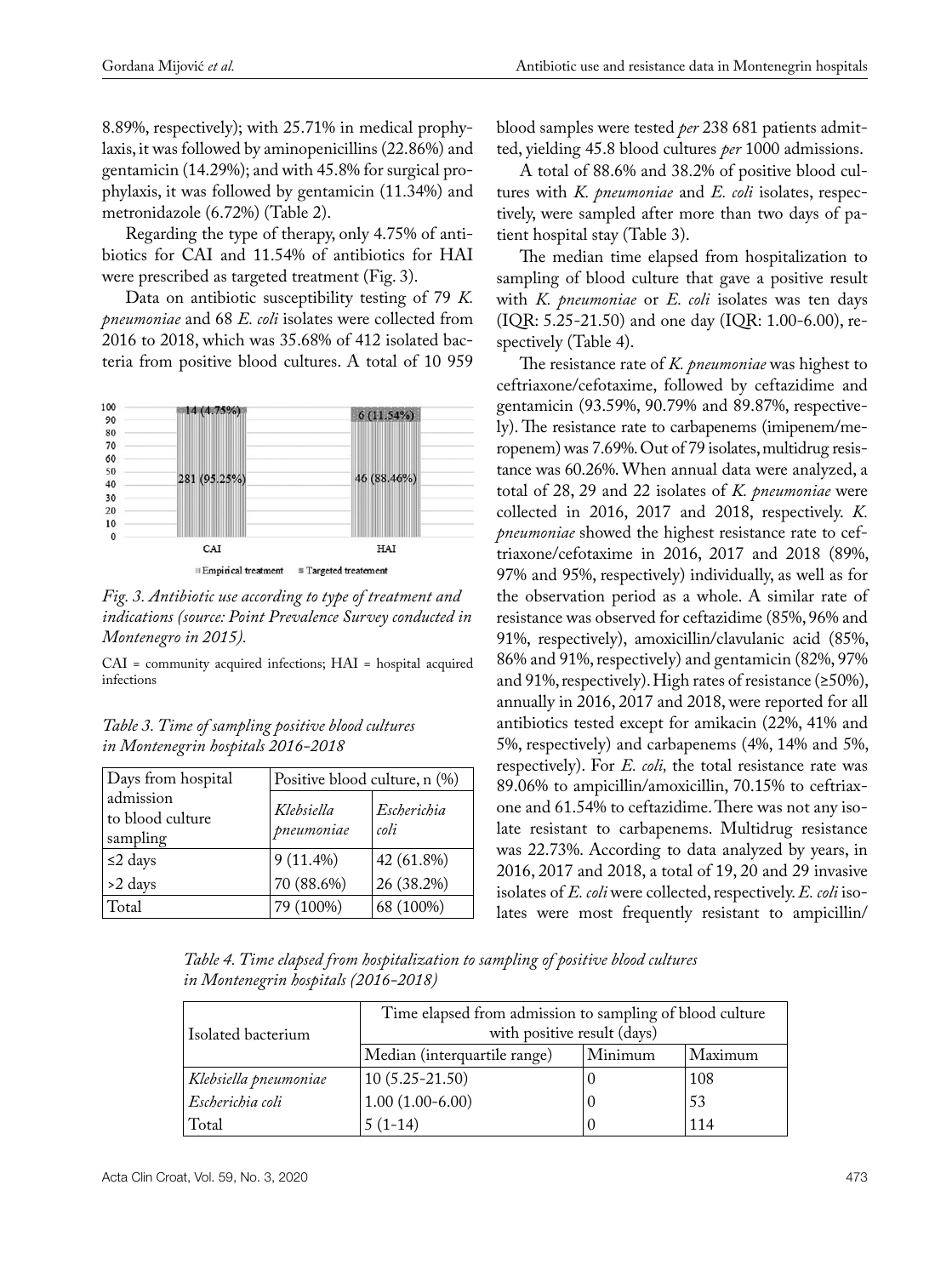8.89%, respectively); with 25.71% in medical prophylaxis, it was followed by aminopenicillins (22.86%) and gentamicin (14.29%); and with 45.8% for surgical prophylaxis, it was followed by gentamicin (11.34%) and metronidazole (6.72%) (Table 2).

Regarding the type of therapy, only 4.75% of antibiotics for CAI and 11.54% of antibiotics for HAI were prescribed as targeted treatment (Fig. 3).

Data on antibiotic susceptibility testing of 79 *K. pneumoniae* and 68 *E. coli* isolates were collected from 2016 to 2018, which was 35.68% of 412 isolated bacteria from positive blood cultures. A total of 10 959





CAI = community acquired infections; HAI = hospital acquired infections

| Table 3. Time of sampling positive blood cultures |  |
|---------------------------------------------------|--|
| in Montenegrin hospitals 2016–2018                |  |

| Days from hospital                        | Positive blood culture, n (%) |                     |
|-------------------------------------------|-------------------------------|---------------------|
| admission<br>to blood culture<br>sampling | Klebsiella<br>pneumoniae      | Escherichia<br>coli |
| $\leq$ 2 days                             | $9(11.4\%)$                   | 42 (61.8%)          |
| >2 days                                   | 70 (88.6%)                    | 26 (38.2%)          |
| Total                                     | 79 (100%)                     | 68 (100%)           |

blood samples were tested *per* 238 681 patients admitted, yielding 45.8 blood cultures *per* 1000 admissions.

A total of 88.6% and 38.2% of positive blood cultures with *K. pneumoniae* and *E. coli* isolates, respectively, were sampled after more than two days of patient hospital stay (Table 3).

The median time elapsed from hospitalization to sampling of blood culture that gave a positive result with *K. pneumoniae* or *E. coli* isolates was ten days (IQR: 5.25-21.50) and one day (IQR: 1.00-6.00), respectively (Table 4).

The resistance rate of *K. pneumoniae* was highest to ceftriaxone/cefotaxime, followed by ceftazidime and gentamicin (93.59%, 90.79% and 89.87%, respectively). The resistance rate to carbapenems (imipenem/meropenem) was 7.69%. Out of 79 isolates, multidrug resistance was 60.26%. When annual data were analyzed, a total of 28, 29 and 22 isolates of *K. pneumoniae* were collected in 2016, 2017 and 2018, respectively. *K. pneumoniae* showed the highest resistance rate to ceftriaxone/cefotaxime in 2016, 2017 and 2018 (89%, 97% and 95%, respectively) individually, as well as for the observation period as a whole. A similar rate of resistance was observed for ceftazidime (85%, 96% and 91%, respectively), amoxicillin/clavulanic acid (85%, 86% and 91%, respectively) and gentamicin (82%, 97% and 91%, respectively). High rates of resistance (≥50%), annually in 2016, 2017 and 2018, were reported for all antibiotics tested except for amikacin (22%, 41% and 5%, respectively) and carbapenems (4%, 14% and 5%, respectively). For *E. coli,* the total resistance rate was 89.06% to ampicillin/amoxicillin, 70.15% to ceftriaxone and 61.54% to ceftazidime. There was not any isolate resistant to carbapenems. Multidrug resistance was 22.73%. According to data analyzed by years, in 2016, 2017 and 2018, a total of 19, 20 and 29 invasive isolates of *E. coli* were collected, respectively. *E. coli* isolates were most frequently resistant to ampicillin/

*Table 4. Time elapsed from hospitalization to sampling of positive blood cultures in Montenegrin hospitals (2016-2018)*

| Isolated bacterium    | Time elapsed from admission to sampling of blood culture<br>with positive result (days) |         |         |
|-----------------------|-----------------------------------------------------------------------------------------|---------|---------|
|                       | Median (interquartile range)                                                            | Minimum | Maximum |
| Klebsiella pneumoniae | $10(5.25-21.50)$                                                                        |         | 108     |
| Escherichia coli      | $1.00(1.00-6.00)$                                                                       | U       | 53      |
| Total                 | $5(1-14)$                                                                               | O       | 114     |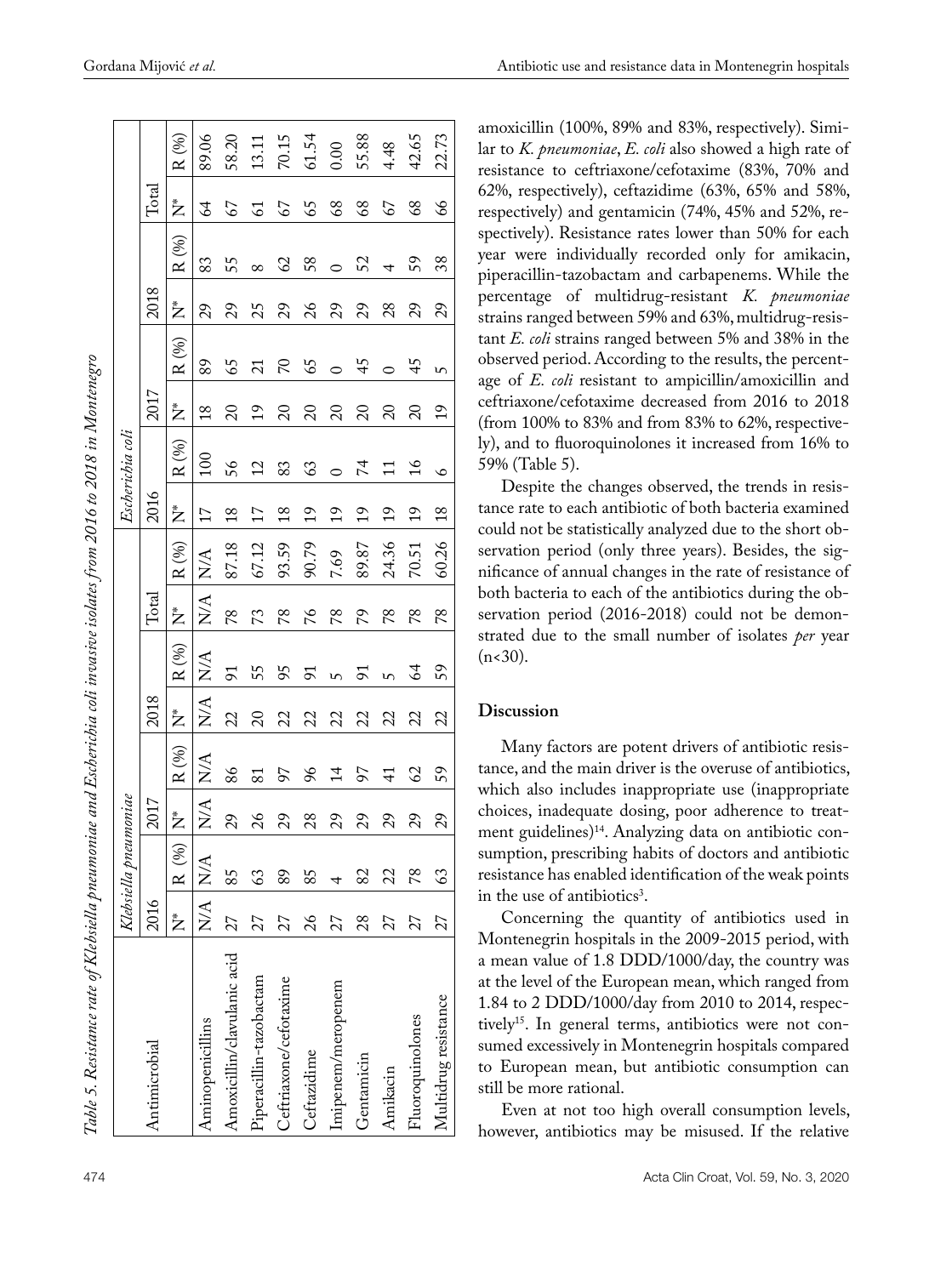|                             |         | Klebsiella pneumoniae |                        |                  |            |                     |                             |                                       |                 | Escherichia coli          |                |                  |          |               |                |                                                                |
|-----------------------------|---------|-----------------------|------------------------|------------------|------------|---------------------|-----------------------------|---------------------------------------|-----------------|---------------------------|----------------|------------------|----------|---------------|----------------|----------------------------------------------------------------|
| Antimicrobial               | 2016    |                       | 2017                   |                  | 2018       |                     | $\rm Total$                 |                                       | 2016            |                           | 2017           |                  | 2018     |               | $\rm Total$    |                                                                |
|                             |         | $N^*$ R $(\%)$        | Ž                      | $\mathbf{R}$ (%) | Ż          | $\mathbf{R}$ (%)    |                             | $\mathbf{R}$ (%)                      | Ž               | $R\left(\text{\%}\right)$ | Ž              | $\mathbf{R}$ (%) | Ž        | R(%)          | Ž              | R (%)                                                          |
| Aminopenicillins            | N/A N/A |                       | $\mathbb{N}\mathbb{A}$ | $N\!A$           | $\rm N\!A$ | ${\rm N}\!{\cal A}$ | $\frac{1}{2}$ $\frac{1}{2}$ | $\mathop{\rm N}\nolimits\!mathcal{A}$ | $\overline{17}$ | 100                       | $\frac{8}{18}$ | 89               | 29       | 83            | $\mathcal{L}$  | 89.06                                                          |
| Amoxicillin/clavulanic acid | 27      | 85                    | 29                     | 86               | 22         | 91                  | 78                          | 87.18                                 | $\frac{8}{18}$  | 56                        | $\Omega$       | 65               | 29       | 55            | 67             | 58.20                                                          |
| Piperacillin-tazobactam     | 27      | 63                    | $\frac{26}{5}$         | 81               | $\Omega$   | 55                  | 73                          | 67.12                                 | $\overline{17}$ | $\overline{c}$            | $\overline{1}$ |                  | 25       |               | $\overline{5}$ |                                                                |
| Ceftriaxone/cefotaxime      | 27      | 89                    | 29                     | 56               | 22         | 95                  | 78                          | 93.59                                 | $\frac{8}{18}$  | 83                        | $\Omega$       | 5                | 29       | $\mathcal{O}$ | 67             |                                                                |
| Ceftazidime                 | 26      | 85                    | 28                     | 96               | 22         | 56                  | $\gamma$ 6                  | 90.79                                 | 19              | 63                        | $\Omega$       | 65               | $\delta$ | 58            | 65             | $\begin{array}{c} 13.11 \\ 70.15 \\ 61.54 \\ 0.00 \end{array}$ |
| Imipenem/meropenem          | 27      |                       | 29                     | $\overline{1}$   | 22         | $\mathbf{v}$        | 84                          | 7.69                                  | $\overline{1}$  | $\circ$                   | $\Omega$       | $\circ$          | 29       |               | 68             |                                                                |
| Gentamicin                  | 28      | 82                    | 29                     | 56               | 22         | 91                  | 79                          | 89.87                                 | $\overline{1}$  | $\overline{7}$            | $\Omega$       | 45               | 29       | 52            | 89             | 155.88                                                         |
| Amikacin                    | 27      | 22                    | 29                     | $\frac{1}{4}$    | 22         | $\mathsf{L}$        | 78                          | 24.36                                 | $\overline{19}$ | $\Xi$                     | $\Omega$       | $\circ$          | 28       | 4             | 67             | 4.48                                                           |
| Fluoroquinolones            | 27      | 78                    | 29                     | 62               | 22         | 64                  | 84                          | $70.51\,$                             | $\overline{c}$  | $\frac{1}{6}$             | $\overline{c}$ | 45               | 29       | 59            | 89             | 42.65                                                          |
| Multidrug resistance        | 27      | 63                    | 29                     | 59               | 22         | 59                  | 78                          | 60.26                                 | $\frac{8}{2}$   | $\circ$                   | $\frac{1}{2}$  | m                | 29       | 38            | 66             | 22.73                                                          |

amoxicillin (100%, 89% and 83%, respectively). Simi lar to *K. pneumoniae*, *E. coli* also showed a high rate of resistance to ceftriaxone/cefotaxime (83%, 70% and 62%, respectively), ceftazidime (63%, 65% and 58%, respectively) and gentamicin (74%, 45% and 52%, re spectively). Resistance rates lower than 50% for each year were individually recorded only for amikacin, piperacillin-tazobactam and carbapenems. While the percentage of multidrug-resistant *K. pneumoniae*  strains ranged between 59% and 63%, multidrug-resis tant *E. coli* strains ranged between 5% and 38% in the observed period. According to the results, the percent age of *E. coli* resistant to ampicillin/amoxicillin and ceftriaxone/cefotaxime decreased from 2016 to 2018 (from 100% to 83% and from 83% to 62%, respective ly), and to fluoroquinolones it increased from 16% to 59% ( Table 5).

Despite the changes observed, the trends in resis tance rate to each antibiotic of both bacteria examined could not be statistically analyzed due to the short ob servation period (only three years). Besides, the sig nificance of annual changes in the rate of resistance of both bacteria to each of the antibiotics during the ob servation period (2016-2018) could not be demon strated due to the small number of isolates *per* year  $(n<30)$ .

#### **Discussion**

Many factors are potent drivers of antibiotic resis tance, and the main driver is the overuse of antibiotics, which also includes inappropriate use (inappropriate choices, inadequate dosing, poor adherence to treat ment guidelines)14. Analyzing data on antibiotic con sumption, prescribing habits of doctors and antibiotic resistance has enabled identification of the weak points in the use of antibiotics 3 .

Concerning the quantity of antibiotics used in Montenegrin hospitals in the 2009-2015 period, with a mean value of 1.8 DDD/1000/day, the country was at the level of the European mean, which ranged from 1.84 to 2 DDD/1000/day from 2010 to 2014, respec tively<sup>15</sup>. In general terms, antibiotics were not consumed excessively in Montenegrin hospitals compared to European mean, but antibiotic consumption can still be more rational.

Even at not too high overall consumption levels, however, antibiotics may be misused. If the relative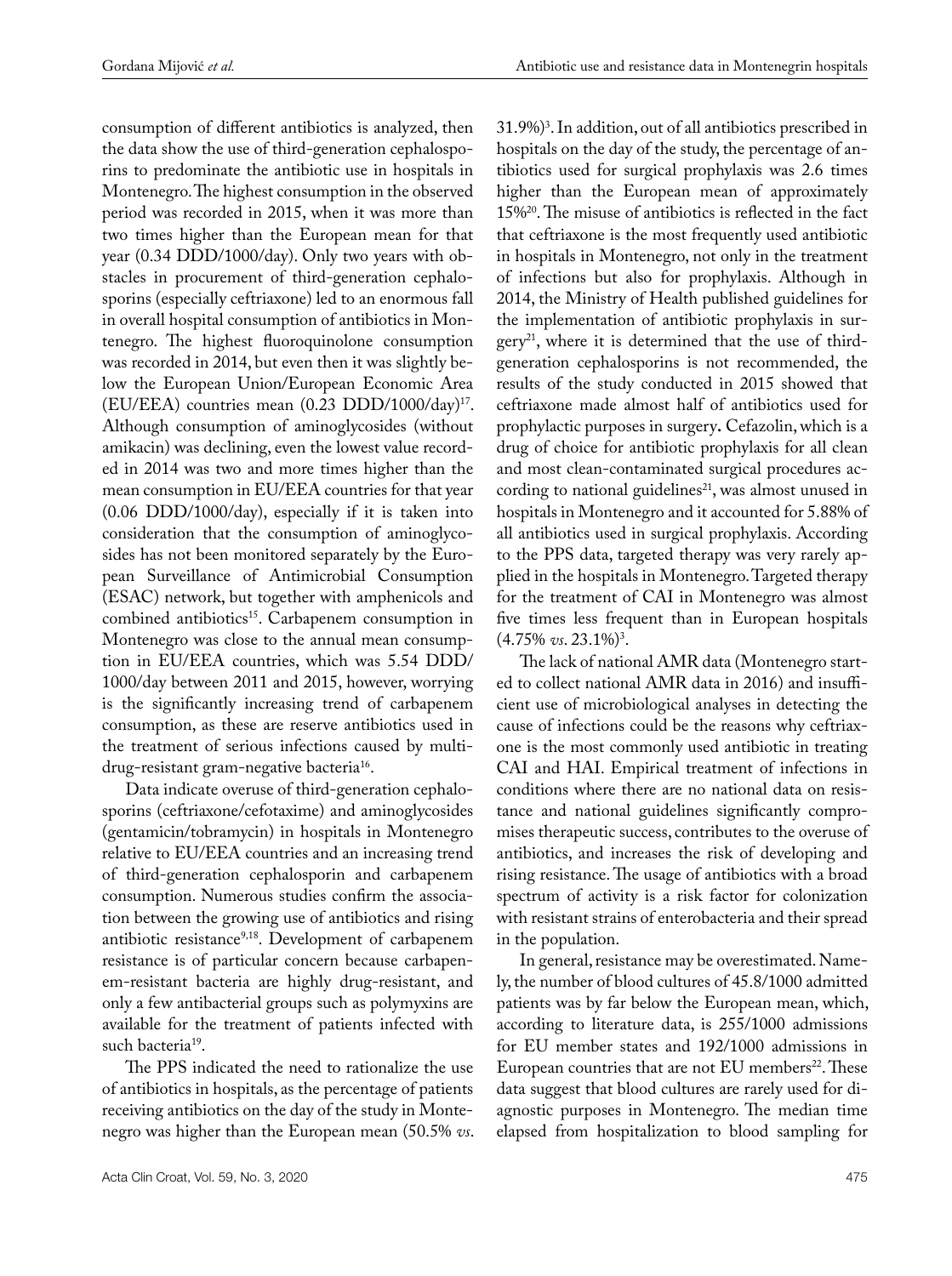consumption of different antibiotics is analyzed, then the data show the use of third-generation cephalosporins to predominate the antibiotic use in hospitals in Montenegro. The highest consumption in the observed period was recorded in 2015, when it was more than two times higher than the European mean for that year (0.34 DDD/1000/day). Only two years with obstacles in procurement of third-generation cephalosporins (especially ceftriaxone) led to an enormous fall in overall hospital consumption of antibiotics in Montenegro. The highest fluoroquinolone consumption was recorded in 2014, but even then it was slightly below the European Union/European Economic Area (EU/EEA) countries mean (0.23 DDD/1000/day)17. Although consumption of aminoglycosides (without amikacin) was declining, even the lowest value recorded in 2014 was two and more times higher than the mean consumption in EU/EEA countries for that year (0.06 DDD/1000/day), especially if it is taken into consideration that the consumption of aminoglycosides has not been monitored separately by the European Surveillance of Antimicrobial Consumption (ESAC) network, but together with amphenicols and combined antibiotics<sup>15</sup>. Carbapenem consumption in Montenegro was close to the annual mean consumption in EU/EEA countries, which was 5.54 DDD/ 1000/day between 2011 and 2015, however, worrying is the significantly increasing trend of carbapenem consumption, as these are reserve antibiotics used in the treatment of serious infections caused by multidrug-resistant gram-negative bacteria<sup>16</sup>.

Data indicate overuse of third-generation cephalosporins (ceftriaxone/cefotaxime) and aminoglycosides (gentamicin/tobramycin) in hospitals in Montenegro relative to EU/EEA countries and an increasing trend of third-generation cephalosporin and carbapenem consumption. Numerous studies confirm the association between the growing use of antibiotics and rising antibiotic resistance<sup>9,18</sup>. Development of carbapenem resistance is of particular concern because carbapenem-resistant bacteria are highly drug-resistant, and only a few antibacterial groups such as polymyxins are available for the treatment of patients infected with such bacteria<sup>19</sup>.

The PPS indicated the need to rationalize the use of antibiotics in hospitals, as the percentage of patients receiving antibiotics on the day of the study in Montenegro was higher than the European mean (50.5% *vs*.

31.9%)3 . In addition, out of all antibiotics prescribed in hospitals on the day of the study, the percentage of antibiotics used for surgical prophylaxis was 2.6 times higher than the European mean of approximately 15%20. The misuse of antibiotics is reflected in the fact that ceftriaxone is the most frequently used antibiotic in hospitals in Montenegro, not only in the treatment of infections but also for prophylaxis. Although in 2014, the Ministry of Health published guidelines for the implementation of antibiotic prophylaxis in sur $gery<sup>21</sup>$ , where it is determined that the use of thirdgeneration cephalosporins is not recommended, the results of the study conducted in 2015 showed that ceftriaxone made almost half of antibiotics used for prophylactic purposes in surgery**.** Cefazolin, which is a drug of choice for antibiotic prophylaxis for all clean and most clean-contaminated surgical procedures according to national guidelines<sup>21</sup>, was almost unused in hospitals in Montenegro and it accounted for 5.88% of all antibiotics used in surgical prophylaxis. According to the PPS data, targeted therapy was very rarely applied in the hospitals in Montenegro. Targeted therapy for the treatment of CAI in Montenegro was almost five times less frequent than in European hospitals  $(4.75\% \text{ vs. } 23.1\%)^3$ .

The lack of national AMR data (Montenegro started to collect national AMR data in 2016) and insufficient use of microbiological analyses in detecting the cause of infections could be the reasons why ceftriaxone is the most commonly used antibiotic in treating CAI and HAI. Empirical treatment of infections in conditions where there are no national data on resistance and national guidelines significantly compromises therapeutic success, contributes to the overuse of antibiotics, and increases the risk of developing and rising resistance. The usage of antibiotics with a broad spectrum of activity is a risk factor for colonization with resistant strains of enterobacteria and their spread in the population.

In general, resistance may be overestimated. Namely, the number of blood cultures of 45.8/1000 admitted patients was by far below the European mean, which, according to literature data, is 255/1000 admissions for EU member states and 192/1000 admissions in European countries that are not EU members<sup>22</sup>. These data suggest that blood cultures are rarely used for diagnostic purposes in Montenegro. The median time elapsed from hospitalization to blood sampling for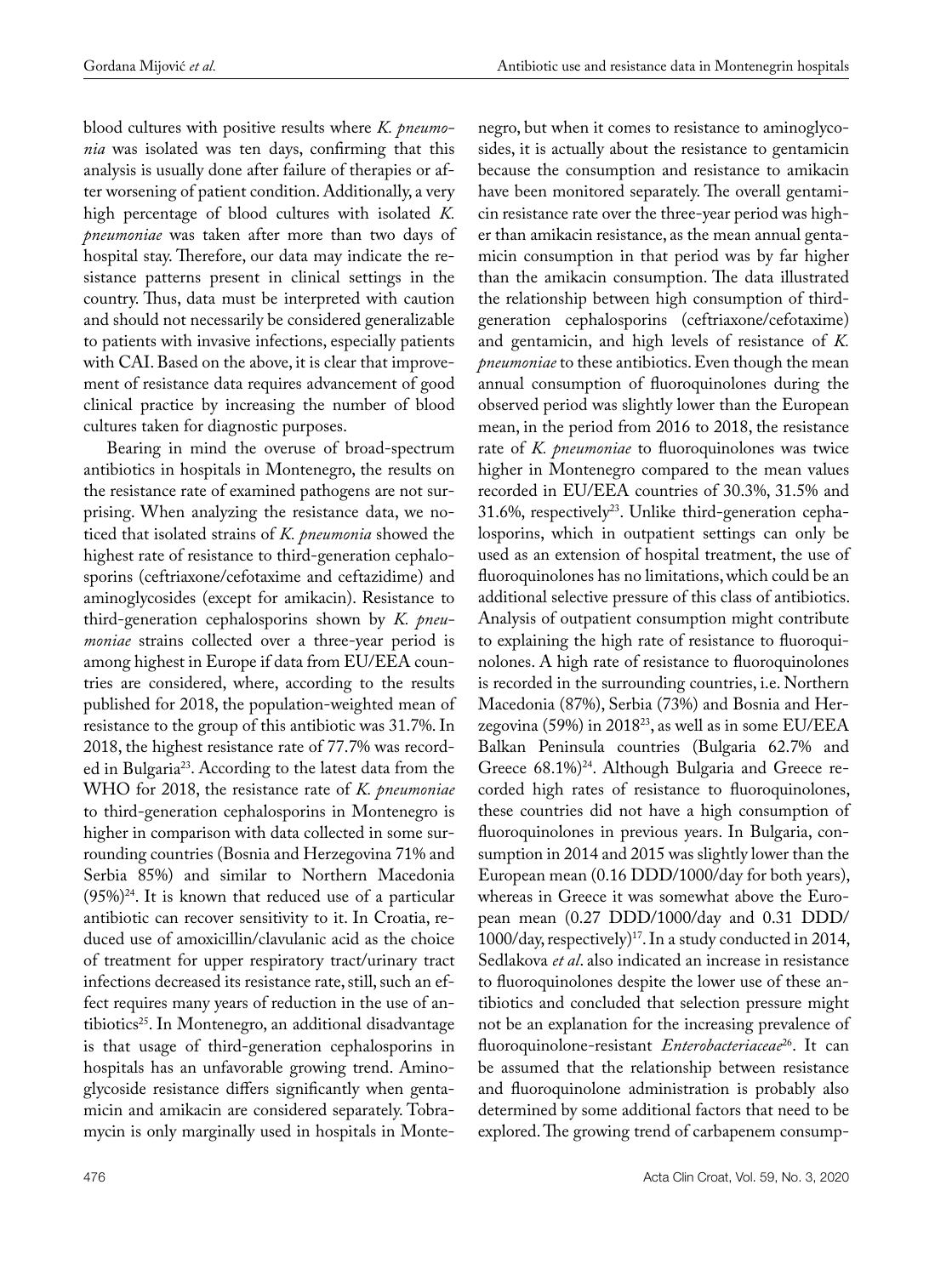blood cultures with positive results where *K. pneumonia* was isolated was ten days, confirming that this analysis is usually done after failure of therapies or after worsening of patient condition. Additionally, a very high percentage of blood cultures with isolated *K. pneumoniae* was taken after more than two days of hospital stay. Therefore, our data may indicate the resistance patterns present in clinical settings in the country. Thus, data must be interpreted with caution and should not necessarily be considered generalizable to patients with invasive infections, especially patients with CAI. Based on the above, it is clear that improvement of resistance data requires advancement of good clinical practice by increasing the number of blood cultures taken for diagnostic purposes.

Bearing in mind the overuse of broad-spectrum antibiotics in hospitals in Montenegro, the results on the resistance rate of examined pathogens are not surprising. When analyzing the resistance data, we noticed that isolated strains of *K. pneumonia* showed the highest rate of resistance to third-generation cephalosporins (ceftriaxone/cefotaxime and ceftazidime) and aminoglycosides (except for amikacin). Resistance to third-generation cephalosporins shown by *K. pneumoniae* strains collected over a three-year period is among highest in Europe if data from EU/EEA countries are considered, where, according to the results published for 2018, the population-weighted mean of resistance to the group of this antibiotic was 31.7%. In 2018, the highest resistance rate of 77.7% was recorded in Bulgaria23. According to the latest data from the WHO for 2018, the resistance rate of *K. pneumoniae* to third-generation cephalosporins in Montenegro is higher in comparison with data collected in some surrounding countries (Bosnia and Herzegovina 71% and Serbia 85%) and similar to Northern Macedonia  $(95\%)^{24}$ . It is known that reduced use of a particular antibiotic can recover sensitivity to it. In Croatia, reduced use of amoxicillin/clavulanic acid as the choice of treatment for upper respiratory tract/urinary tract infections decreased its resistance rate, still, such an effect requires many years of reduction in the use of antibiotics<sup>25</sup>. In Montenegro, an additional disadvantage is that usage of third-generation cephalosporins in hospitals has an unfavorable growing trend. Aminoglycoside resistance differs significantly when gentamicin and amikacin are considered separately. Tobramycin is only marginally used in hospitals in Monte-

negro, but when it comes to resistance to aminoglycosides, it is actually about the resistance to gentamicin because the consumption and resistance to amikacin have been monitored separately. The overall gentamicin resistance rate over the three-year period was higher than amikacin resistance, as the mean annual gentamicin consumption in that period was by far higher than the amikacin consumption. The data illustrated the relationship between high consumption of thirdgeneration cephalosporins (ceftriaxone/cefotaxime) and gentamicin, and high levels of resistance of *K. pneumoniae* to these antibiotics. Even though the mean annual consumption of fluoroquinolones during the observed period was slightly lower than the European mean, in the period from 2016 to 2018, the resistance rate of *K. pneumoniae* to fluoroquinolones was twice higher in Montenegro compared to the mean values recorded in EU/EEA countries of 30.3%, 31.5% and  $31.6\%$ , respectively<sup>23</sup>. Unlike third-generation cephalosporins, which in outpatient settings can only be used as an extension of hospital treatment, the use of fluoroquinolones has no limitations, which could be an additional selective pressure of this class of antibiotics. Analysis of outpatient consumption might contribute to explaining the high rate of resistance to fluoroquinolones. A high rate of resistance to fluoroquinolones is recorded in the surrounding countries, i.e. Northern Macedonia (87%), Serbia (73%) and Bosnia and Herzegovina (59%) in 2018<sup>23</sup>, as well as in some EU/EEA Balkan Peninsula countries (Bulgaria 62.7% and Greece 68.1%)<sup>24</sup>. Although Bulgaria and Greece recorded high rates of resistance to fluoroquinolones, these countries did not have a high consumption of fluoroquinolones in previous years. In Bulgaria, consumption in 2014 and 2015 was slightly lower than the European mean (0.16 DDD/1000/day for both years), whereas in Greece it was somewhat above the European mean (0.27 DDD/1000/day and 0.31 DDD/  $1000$ /day, respectively)<sup>17</sup>. In a study conducted in 2014, Sedlakova *et al*. also indicated an increase in resistance to fluoroquinolones despite the lower use of these antibiotics and concluded that selection pressure might not be an explanation for the increasing prevalence of fluoroquinolone-resistant *Enterobacteriaceae*26. It can be assumed that the relationship between resistance and fluoroquinolone administration is probably also determined by some additional factors that need to be explored. The growing trend of carbapenem consump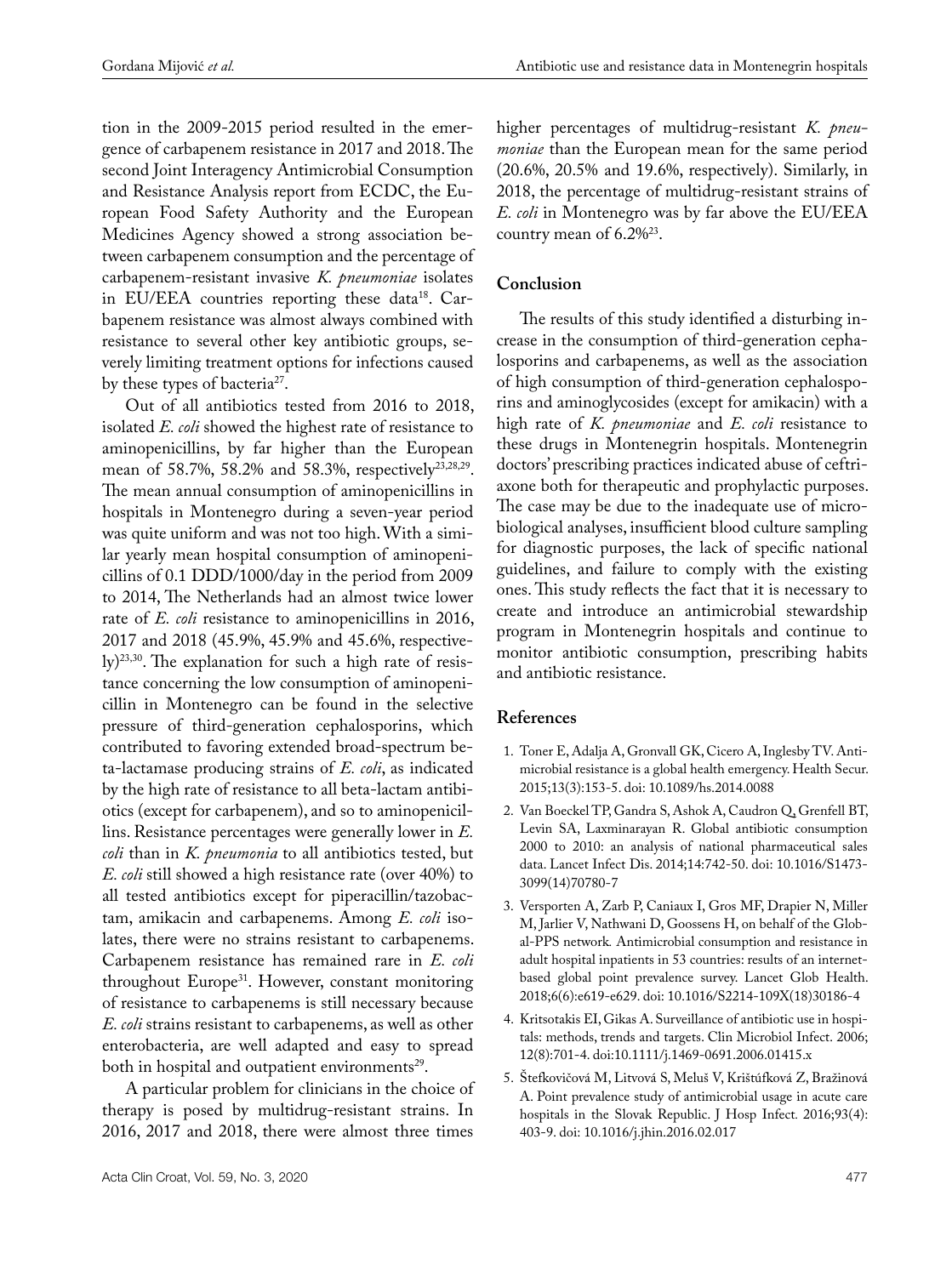tion in the 2009-2015 period resulted in the emergence of carbapenem resistance in 2017 and 2018. The second Joint Interagency Antimicrobial Consumption and Resistance Analysis report from ECDC, the European Food Safety Authority and the European Medicines Agency showed a strong association between carbapenem consumption and the percentage of carbapenem-resistant invasive *K. pneumoniae* isolates in EU/EEA countries reporting these data<sup>18</sup>. Carbapenem resistance was almost always combined with resistance to several other key antibiotic groups, severely limiting treatment options for infections caused by these types of bacteria<sup>27</sup>.

Out of all antibiotics tested from 2016 to 2018, isolated *E. coli* showed the highest rate of resistance to aminopenicillins, by far higher than the European mean of 58.7%, 58.2% and 58.3%, respectively<sup>23,28,29</sup>. The mean annual consumption of aminopenicillins in hospitals in Montenegro during a seven-year period was quite uniform and was not too high. With a similar yearly mean hospital consumption of aminopenicillins of 0.1 DDD/1000/day in the period from 2009 to 2014, The Netherlands had an almost twice lower rate of *E. coli* resistance to aminopenicillins in 2016, 2017 and 2018 (45.9%, 45.9% and 45.6%, respectively)23,30. The explanation for such a high rate of resistance concerning the low consumption of aminopenicillin in Montenegro can be found in the selective pressure of third-generation cephalosporins, which contributed to favoring extended broad-spectrum beta-lactamase producing strains of *E. coli*, as indicated by the high rate of resistance to all beta-lactam antibiotics (except for carbapenem), and so to aminopenicillins. Resistance percentages were generally lower in *E. coli* than in *K. pneumonia* to all antibiotics tested, but *E. coli* still showed a high resistance rate (over 40%) to all tested antibiotics except for piperacillin/tazobactam, amikacin and carbapenems. Among *E. coli* isolates, there were no strains resistant to carbapenems. Carbapenem resistance has remained rare in *E. coli* throughout Europe<sup>31</sup>. However, constant monitoring of resistance to carbapenems is still necessary because *E. coli* strains resistant to carbapenems, as well as other enterobacteria, are well adapted and easy to spread both in hospital and outpatient environments<sup>29</sup>.

A particular problem for clinicians in the choice of therapy is posed by multidrug-resistant strains. In 2016, 2017 and 2018, there were almost three times

higher percentages of multidrug-resistant *K. pneumoniae* than the European mean for the same period (20.6%, 20.5% and 19.6%, respectively). Similarly, in 2018, the percentage of multidrug-resistant strains of *E. coli* in Montenegro was by far above the EU/EEA country mean of  $6.2\%^{23}$ .

## **Conclusion**

The results of this study identified a disturbing increase in the consumption of third-generation cephalosporins and carbapenems, as well as the association of high consumption of third-generation cephalosporins and aminoglycosides (except for amikacin) with a high rate of *K. pneumoniae* and *E. coli* resistance to these drugs in Montenegrin hospitals. Montenegrin doctors' prescribing practices indicated abuse of ceftriaxone both for therapeutic and prophylactic purposes. The case may be due to the inadequate use of microbiological analyses, insufficient blood culture sampling for diagnostic purposes, the lack of specific national guidelines, and failure to comply with the existing ones. This study reflects the fact that it is necessary to create and introduce an antimicrobial stewardship program in Montenegrin hospitals and continue to monitor antibiotic consumption, prescribing habits and antibiotic resistance.

## **References**

- 1. Toner E, Adalja A, Gronvall GK, Cicero A, Inglesby TV. Antimicrobial resistance is a global health emergency. [Health Secur.](https://www.ncbi.nlm.nih.gov/pmc/articles/PMC4486712/) 2015;13(3):153-5. doi: [10.1089/hs.2014.0088](https://dx.doi.org/10.1089%2Fhs.2014.0088)
- 2. Van Boeckel TP, Gandra S, Ashok A, Caudron Q, Grenfell BT, Levin SA, Laxminarayan R. Global antibiotic consumption 2000 to 2010: an analysis of national pharmaceutical sales data. Lancet Infect Dis. 2014;14:742-50. doi: 10.1016/S1473- 3099(14)70780-7
- 3. Versporten A, Zarb P, Caniaux I, Gros MF, Drapier N, Miller M, Jarlier V, Nathwani D, Goossens H, on behalf of the Global-PPS network*.* Antimicrobial consumption and resistance in adult hospital inpatients in 53 countries: results of an internetbased global point prevalence survey. [Lancet Glob Health.](https://www.ncbi.nlm.nih.gov/pubmed/29681513) 2018;6(6):e619-e629. doi: 10.1016/S2214-109X(18)30186-4
- 4. [Kritsotakis EI](https://www.ncbi.nlm.nih.gov/pubmed/?term=Kritsotakis EI%5BAuthor%5D&cauthor=true&cauthor_uid=16842564), [Gikas A.](https://www.ncbi.nlm.nih.gov/pubmed/?term=Gikas A%5BAuthor%5D&cauthor=true&cauthor_uid=16842564) Surveillance of antibiotic use in hospitals: methods, trends and targets. Clin Microbiol Infect. 2006; 12(8):701-4. doi:10.1111/j.1469-0691.2006.01415.x
- 5. [Štefkovičová](file:///D:/DENONA/ACTA_3_2020/ulaz_3/javascript:void(0);) M, [Litvová](file:///D:/DENONA/ACTA_3_2020/ulaz_3/javascript:void(0);) S, [Meluš](file:///D:/DENONA/ACTA_3_2020/ulaz_3/javascript:void(0);) V, [Krištúfková](file:///D:/DENONA/ACTA_3_2020/ulaz_3/javascript:void(0);) Z, [Bražinová](file:///D:/DENONA/ACTA_3_2020/ulaz_3/javascript:void(0);) A. Point prevalence study of antimicrobial usage in acute care hospitals in the Slovak Republic. [J Hosp Infect](https://www.ncbi.nlm.nih.gov/pubmed/27156010)*.* 2016;93(4): 403-9. doi: 10.1016/j.jhin.2016.02.017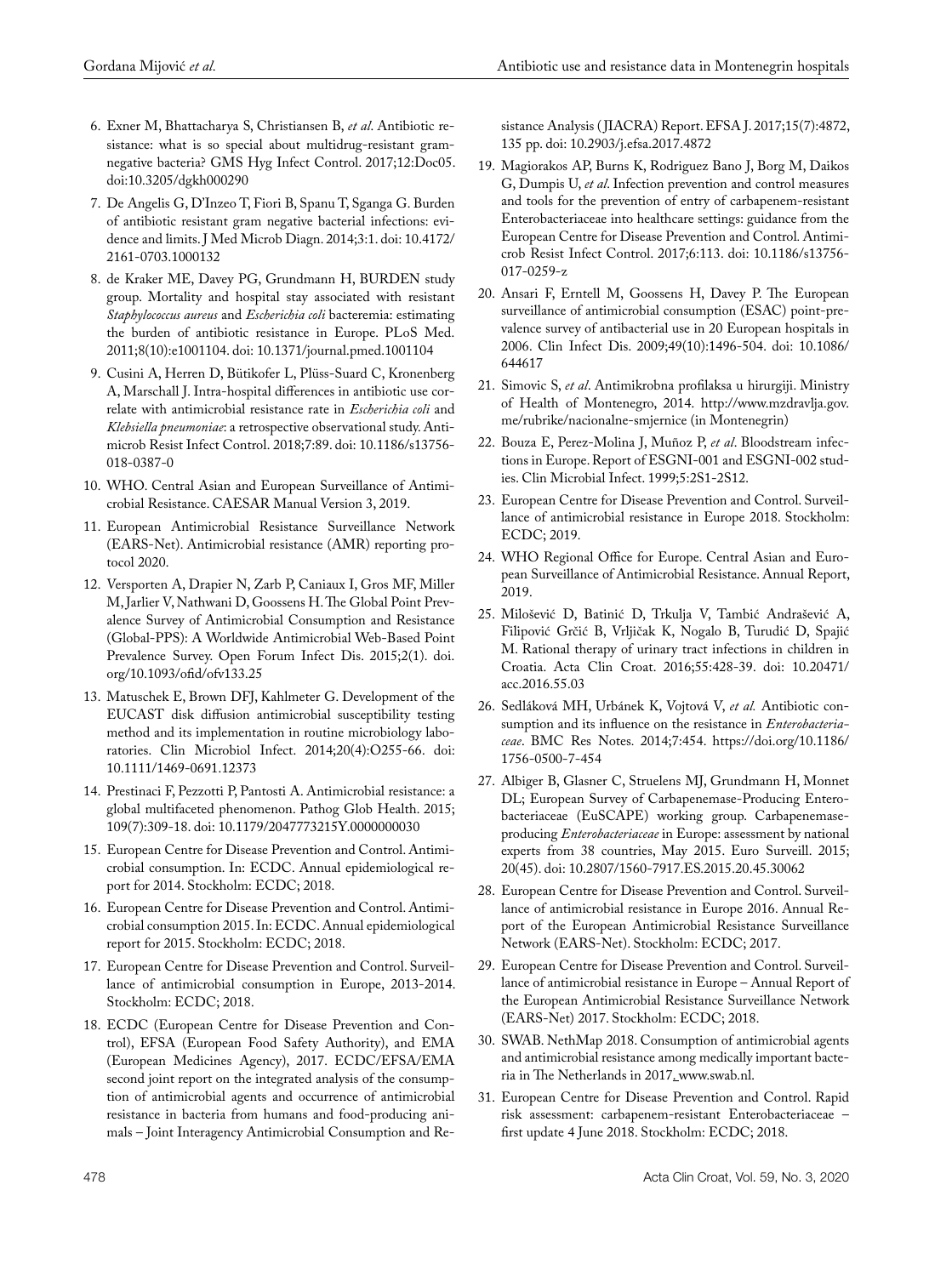- 6. Exner M, Bhattacharya S, Christiansen B, *et al*. Antibiotic resistance: what is so special about multidrug-resistant gramnegative bacteria? GMS Hyg Infect Control. 2017;12:Doc05. doi:10.3205/dgkh000290
- 7. De Angelis G, D'Inzeo T, Fiori B, Spanu T, Sganga G. Burden of antibiotic resistant gram negative bacterial infections: evidence and limits. J Med Microb Diagn. 2014;3:1. doi: 10.4172/ 2161-0703.1000132
- 8. [de Kraker ME,](https://www.ncbi.nlm.nih.gov/pubmed/?term=de Kraker ME%5BAuthor%5D&cauthor=true&cauthor_uid=22022233) [Davey PG,](https://www.ncbi.nlm.nih.gov/pubmed/?term=Davey PG%5BAuthor%5D&cauthor=true&cauthor_uid=22022233) [Grundmann H](https://www.ncbi.nlm.nih.gov/pubmed/?term=Grundmann H%5BAuthor%5D&cauthor=true&cauthor_uid=22022233), [BURDEN study](https://www.ncbi.nlm.nih.gov/pubmed/?term=BURDEN study group%5BCorporate Author%5D)  [group.](https://www.ncbi.nlm.nih.gov/pubmed/?term=BURDEN study group%5BCorporate Author%5D) Mortality and hospital stay associated with resistant *Staphylococcus aureus* and *Escherichia coli* bacteremia: estimating the burden of antibiotic resistance in Europe. [PLoS Med.](https://www.ncbi.nlm.nih.gov/pubmed/22022233) 2011;8(10):e1001104. doi: 10.1371/journal.pmed.1001104
- 9. Cusini A, Herren D, Bütikofer L, Plüss-Suard C, Kronenberg A, Marschall J. Intra-hospital differences in antibiotic use correlate with antimicrobial resistance rate in *Escherichia coli* and *Klebsiella pneumoniae*: a retrospective observational study. [Anti](https://www.ncbi.nlm.nih.gov/pubmed/30069305)[microb Resist Infect Control.](https://www.ncbi.nlm.nih.gov/pubmed/30069305) 2018;7:89. doi: 10.1186/s13756- 018-0387-0
- 10. WHO. Central Asian and European Surveillance of Antimicrobial Resistance. CAESAR Manual Version 3, 2019.
- 11. European Antimicrobial Resistance Surveillance Network (EARS-Net). Antimicrobial resistance (AMR) reporting protocol 2020.
- 12. Versporten A, Drapier N, Zarb P, Caniaux I, Gros MF, Miller M, Jarlier V, Nathwani D, Goossens H. The Global Point Prevalence Survey of Antimicrobial Consumption and Resistance (Global-PPS): A Worldwide Antimicrobial Web-Based Point Prevalence Survey. Open Forum Infect Dis. 2015;2(1). [doi.](https://doi.org/10.1093/ofid/ofv133.25) [org/10.1093/ofid/ofv133.25](https://doi.org/10.1093/ofid/ofv133.25)
- 13. Matuschek E, Brown DFJ, Kahlmeter G. Development of the EUCAST disk diffusion antimicrobial susceptibility testing method and its implementation in routine microbiology laboratories. Clin Microbiol Infect. 2014;20(4):O255-66. doi: 10.1111/1469-0691.12373
- 14. Prestinaci F, Pezzotti P, Pantosti A. Antimicrobial resistance: a global multifaceted phenomenon. Pathog Glob Health. 2015; 109(7):309-18. doi: 10.1179/2047773215Y.0000000030
- 15. European Centre for Disease Prevention and Control. Antimicrobial consumption. In: ECDC. Annual epidemiological report for 2014. Stockholm: ECDC; 2018.
- 16. European Centre for Disease Prevention and Control. Antimicrobial consumption 2015. In: ECDC. Annual epidemiological report for 2015. Stockholm: ECDC; 2018.
- 17. European Centre for Disease Prevention and Control. Surveillance of antimicrobial consumption in Europe, 2013-2014. Stockholm: ECDC; 2018.
- 18. ECDC (European Centre for Disease Prevention and Control), EFSA (European Food Safety Authority), and EMA (European Medicines Agency), 2017. ECDC/EFSA/EMA second joint report on the integrated analysis of the consumption of antimicrobial agents and occurrence of antimicrobial resistance in bacteria from humans and food-producing animals – Joint Interagency Antimicrobial Consumption and Re-

sistance Analysis ( JIACRA) Report. EFSA J. 2017;15(7):4872, 135 pp. doi: 10.2903/j.efsa.2017.4872

- 19. Magiorakos AP, Burns K, Rodriguez Bano J, Borg M, Daikos G, Dumpis U, *et al*. Infection prevention and control measures and tools for the prevention of entry of carbapenem-resistant Enterobacteriaceae into healthcare settings: guidance from the European Centre for Disease Prevention and Control*.* Antimicrob Resist Infect Control. 2017;6:113. doi: 10.1186/s13756- 017-0259-z
- 20. Ansari F, Erntell M, Goossens H, Davey P. The European surveillance of antimicrobial consumption (ESAC) point-prevalence survey of antibacterial use in 20 European hospitals in 2006. Clin Infect Dis. 2009;49(10):1496-504. doi: 10.1086/ 644617
- 21. Simovic S, *et al*. Antimikrobna profilaksa u hirurgiji. Ministry of Health of Montenegro, 2014. [http://www.mzdravlja.gov.](http://www.mzdravlja.gov.me/rubrike/nacionalne-smjernice) [me/rubrike/nacionalne-smjernice](http://www.mzdravlja.gov.me/rubrike/nacionalne-smjernice) (in Montenegrin)
- 22. Bouza E, Perez-Molina J, Muñoz P, *et al*. Bloodstream infections in Europe. Report of ESGNI-001 and ESGNI-002 studies. Clin Microbial Infect. 1999;5:2S1-2S12.
- 23. European Centre for Disease Prevention and Control. Surveillance of antimicrobial resistance in Europe 2018. Stockholm: ECDC; 2019.
- 24. WHO Regional Office for Europe. Central Asian and European Surveillance of Antimicrobial Resistance. Annual Report, 2019.
- 25. Milošević D, Batinić D, Trkulja V, Tambić Andrašević A, Filipović Grčić B, Vrljičak K, Nogalo B, Turudić D, Spajić M. Rational therapy of urinary tract infections in children in Croatia. Acta Clin Croat. 2016;55:428-39. doi: 10.20471/ acc.2016.55.03
- 26. Sedláková MH, Urbánek K, Vojtová V, *et al.* Antibiotic consumption and its influence on the resistance in *Enterobacteriaceae*. BMC Res Notes*.* 2014;7:454. [https://doi.org/10.1186/](https://doi.org/10.1186/1756-0500-7-454) [1756-0500-7-454](https://doi.org/10.1186/1756-0500-7-454)
- 27. [Albiger B,](https://www.ncbi.nlm.nih.gov/pubmed/?term=Albiger B%5BAuthor%5D&cauthor=true&cauthor_uid=26675038) [Glasner C,](https://www.ncbi.nlm.nih.gov/pubmed/?term=Glasner C%5BAuthor%5D&cauthor=true&cauthor_uid=26675038) [Struelens MJ,](https://www.ncbi.nlm.nih.gov/pubmed/?term=Struelens MJ%5BAuthor%5D&cauthor=true&cauthor_uid=26675038) [Grundmann H,](https://www.ncbi.nlm.nih.gov/pubmed/?term=Grundmann H%5BAuthor%5D&cauthor=true&cauthor_uid=26675038) [Monnet](https://www.ncbi.nlm.nih.gov/pubmed/?term=Monnet DL%5BAuthor%5D&cauthor=true&cauthor_uid=26675038)  [DL;](https://www.ncbi.nlm.nih.gov/pubmed/?term=Monnet DL%5BAuthor%5D&cauthor=true&cauthor_uid=26675038) [European Survey of Carbapenemase-Producing Entero](https://www.ncbi.nlm.nih.gov/pubmed/?term=European Survey of Carbapenemase-Producing Enterobacteriaceae (EuSCAPE) working group%5BCorporate Author%5D)[bacteriaceae \(EuSCAPE\) working group](https://www.ncbi.nlm.nih.gov/pubmed/?term=European Survey of Carbapenemase-Producing Enterobacteriaceae (EuSCAPE) working group%5BCorporate Author%5D). Carbapenemaseproducing *Enterobacteriaceae* in Europe: assessment by national experts from 38 countries, May 2015. [Euro Surveill.](https://www.ncbi.nlm.nih.gov/pubmed/26675038) 2015; 20(45). doi: 10.2807/1560-7917.ES.2015.20.45.30062
- 28. European Centre for Disease Prevention and Control. Surveillance of antimicrobial resistance in Europe 2016. Annual Report of the European Antimicrobial Resistance Surveillance Network (EARS-Net). Stockholm: ECDC; 2017.
- 29. European Centre for Disease Prevention and Control. Surveillance of antimicrobial resistance in Europe – Annual Report of the European Antimicrobial Resistance Surveillance Network (EARS-Net) 2017. Stockholm: ECDC; 2018.
- 30. SWAB. NethMap 2018. Consumption of antimicrobial agents and antimicrobial resistance among medically important bacteria in The Netherlands in 2017. [www.swab.nl](http://www.swab.nl).
- 31. European Centre for Disease Prevention and Control. Rapid risk assessment: carbapenem-resistant Enterobacteriaceae – first update 4 June 2018. Stockholm: ECDC; 2018.